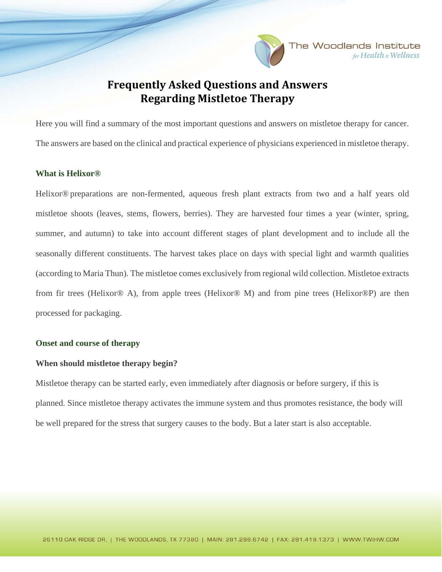

for Health & Wellness

# **Frequently Asked Questions and Answers Regarding Mistletoe Therapy**

Here you will find a summary of the most important questions and answers on mistletoe therapy for cancer. The answers are based on the clinical and practical experience of physicians experienced in mistletoe therapy.

#### **What is Helixor®**

Helixor® preparations are non-fermented, aqueous fresh plant extracts from two and a half years old mistletoe shoots (leaves, stems, flowers, berries). They are harvested four times a year (winter, spring, summer, and autumn) to take into account different stages of plant development and to include all the seasonally different constituents. The harvest takes place on days with special light and warmth qualities (according to Maria Thun). The mistletoe comes exclusively from regional wild collection. Mistletoe extracts from fir trees (Helixor® A), from apple trees (Helixor® M) and from pine trees (Helixor®P) are then processed for packaging.

## **Onset and course of therapy**

## **When should mistletoe therapy begin?**

Mistletoe therapy can be started early, even immediately after diagnosis or before surgery, if this is planned. Since mistletoe therapy activates the immune system and thus promotes resistance, the body will be well prepared for the stress that surgery causes to the body. But a later start is also acceptable.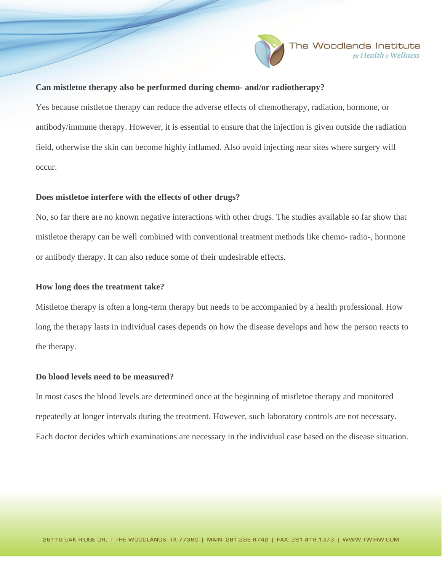

## **Can mistletoe therapy also be performed during chemo- and/or radiotherapy?**

Yes because mistletoe therapy can reduce the adverse effects of chemotherapy, radiation, hormone, or antibody/immune therapy. However, it is essential to ensure that the injection is given outside the radiation field, otherwise the skin can become highly inflamed. Also avoid injecting near sites where surgery will occur.

#### **Does mistletoe interfere with the effects of other drugs?**

No, so far there are no known negative interactions with other drugs. The studies available so far show that mistletoe therapy can be well combined with conventional treatment methods like chemo- radio-, hormone or antibody therapy. It can also reduce some of their undesirable effects.

#### **How long does the treatment take?**

Mistletoe therapy is often a long-term therapy but needs to be accompanied by a health professional. How long the therapy lasts in individual cases depends on how the disease develops and how the person reacts to the therapy.

#### **Do blood levels need to be measured?**

In most cases the blood levels are determined once at the beginning of mistletoe therapy and monitored repeatedly at longer intervals during the treatment. However, such laboratory controls are not necessary. Each doctor decides which examinations are necessary in the individual case based on the disease situation.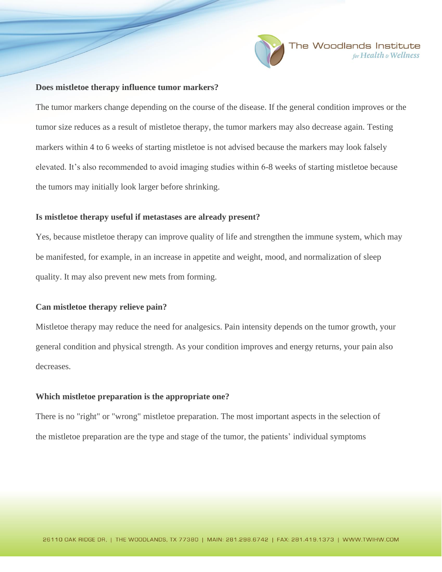

#### **Does mistletoe therapy influence tumor markers?**

The tumor markers change depending on the course of the disease. If the general condition improves or the tumor size reduces as a result of mistletoe therapy, the tumor markers may also decrease again. Testing markers within 4 to 6 weeks of starting mistletoe is not advised because the markers may look falsely elevated. It's also recommended to avoid imaging studies within 6-8 weeks of starting mistletoe because the tumors may initially look larger before shrinking.

#### **Is mistletoe therapy useful if metastases are already present?**

Yes, because mistletoe therapy can improve quality of life and strengthen the immune system, which may be manifested, for example, in an increase in appetite and weight, mood, and normalization of sleep quality. It may also prevent new mets from forming.

## **Can mistletoe therapy relieve pain?**

Mistletoe therapy may reduce the need for analgesics. Pain intensity depends on the tumor growth, your general condition and physical strength. As your condition improves and energy returns, your pain also decreases.

#### **Which mistletoe preparation is the appropriate one?**

There is no "right" or "wrong" mistletoe preparation. The most important aspects in the selection of the mistletoe preparation are the type and stage of the tumor, the patients' individual symptoms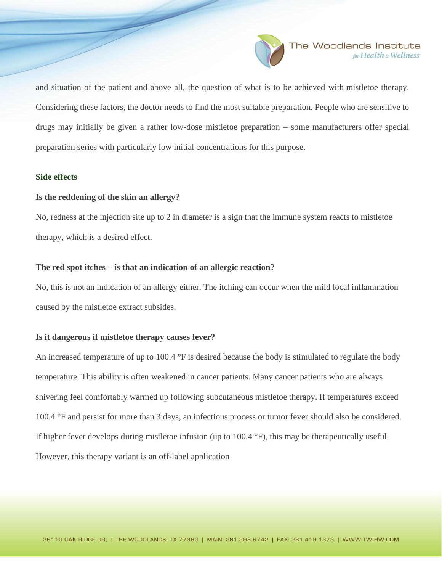

and situation of the patient and above all, the question of what is to be achieved with mistletoe therapy. Considering these factors, the doctor needs to find the most suitable preparation. People who are sensitive to drugs may initially be given a rather low-dose mistletoe preparation – some manufacturers offer special preparation series with particularly low initial concentrations for this purpose.

# **Side effects**

#### **Is the reddening of the skin an allergy?**

No, redness at the injection site up to 2 in diameter is a sign that the immune system reacts to mistletoe therapy, which is a desired effect.

### **The red spot itches – is that an indication of an allergic reaction?**

No, this is not an indication of an allergy either. The itching can occur when the mild local inflammation caused by the mistletoe extract subsides.

## **Is it dangerous if mistletoe therapy causes fever?**

An increased temperature of up to 100.4 °F is desired because the body is stimulated to regulate the body temperature. This ability is often weakened in cancer patients. Many cancer patients who are always shivering feel comfortably warmed up following subcutaneous mistletoe therapy. If temperatures exceed 100.4 °F and persist for more than 3 days, an infectious process or tumor fever should also be considered. If higher fever develops during mistletoe infusion (up to 100.4 °F), this may be therapeutically useful. However, this therapy variant is an off-label application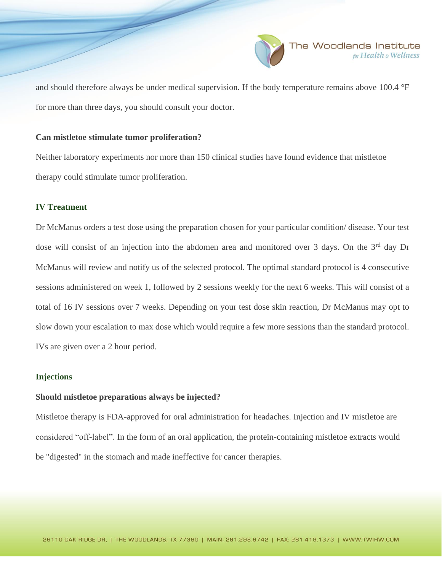

and should therefore always be under medical supervision. If the body temperature remains above 100.4 °F for more than three days, you should consult your doctor.

### **Can mistletoe stimulate tumor proliferation?**

Neither laboratory experiments nor more than 150 clinical studies have found evidence that mistletoe therapy could stimulate tumor proliferation.

# **IV Treatment**

Dr McManus orders a test dose using the preparation chosen for your particular condition/ disease. Your test dose will consist of an injection into the abdomen area and monitored over 3 days. On the 3<sup>rd</sup> day Dr McManus will review and notify us of the selected protocol. The optimal standard protocol is 4 consecutive sessions administered on week 1, followed by 2 sessions weekly for the next 6 weeks. This will consist of a total of 16 IV sessions over 7 weeks. Depending on your test dose skin reaction, Dr McManus may opt to slow down your escalation to max dose which would require a few more sessions than the standard protocol. IVs are given over a 2 hour period.

## **Injections**

## **Should mistletoe preparations always be injected?**

Mistletoe therapy is FDA-approved for oral administration for headaches. Injection and IV mistletoe are considered "off-label". In the form of an oral application, the protein-containing mistletoe extracts would be "digested" in the stomach and made ineffective for cancer therapies.